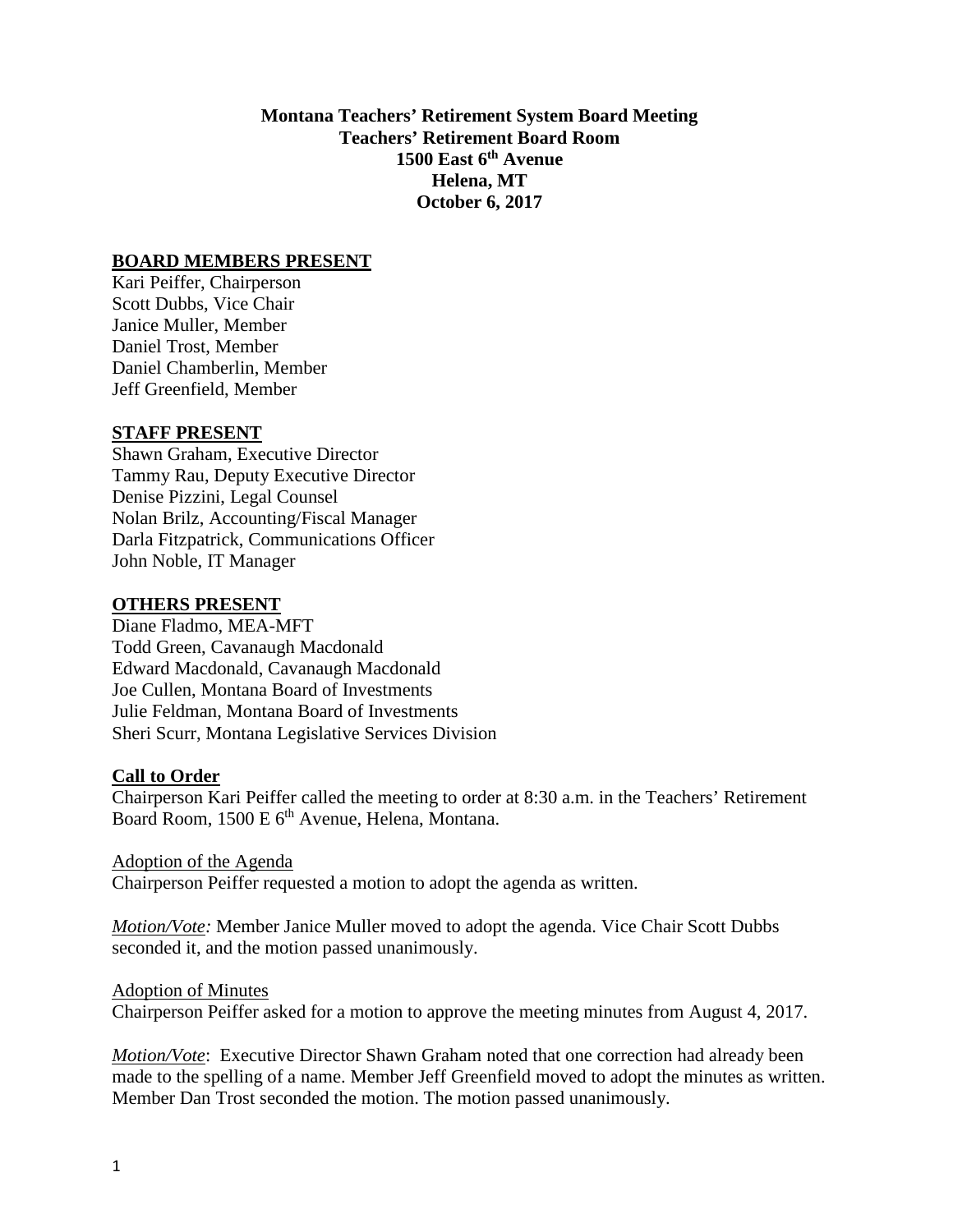**Montana Teachers' Retirement System Board Meeting Teachers' Retirement Board Room 1500 East 6th Avenue Helena, MT October 6, 2017**

### **BOARD MEMBERS PRESENT**

Kari Peiffer, Chairperson Scott Dubbs, Vice Chair Janice Muller, Member Daniel Trost, Member Daniel Chamberlin, Member Jeff Greenfield, Member

#### **STAFF PRESENT**

Shawn Graham, Executive Director Tammy Rau, Deputy Executive Director Denise Pizzini, Legal Counsel Nolan Brilz, Accounting/Fiscal Manager Darla Fitzpatrick, Communications Officer John Noble, IT Manager

#### **OTHERS PRESENT**

Diane Fladmo, MEA-MFT Todd Green, Cavanaugh Macdonald Edward Macdonald, Cavanaugh Macdonald Joe Cullen, Montana Board of Investments Julie Feldman, Montana Board of Investments Sheri Scurr, Montana Legislative Services Division

# **Call to Order**

Chairperson Kari Peiffer called the meeting to order at 8:30 a.m. in the Teachers' Retirement Board Room, 1500 E 6<sup>th</sup> Avenue, Helena, Montana.

Adoption of the Agenda Chairperson Peiffer requested a motion to adopt the agenda as written.

*Motion/Vote:* Member Janice Muller moved to adopt the agenda. Vice Chair Scott Dubbs seconded it, and the motion passed unanimously.

#### Adoption of Minutes

Chairperson Peiffer asked for a motion to approve the meeting minutes from August 4, 2017.

*Motion/Vote*: Executive Director Shawn Graham noted that one correction had already been made to the spelling of a name. Member Jeff Greenfield moved to adopt the minutes as written. Member Dan Trost seconded the motion. The motion passed unanimously.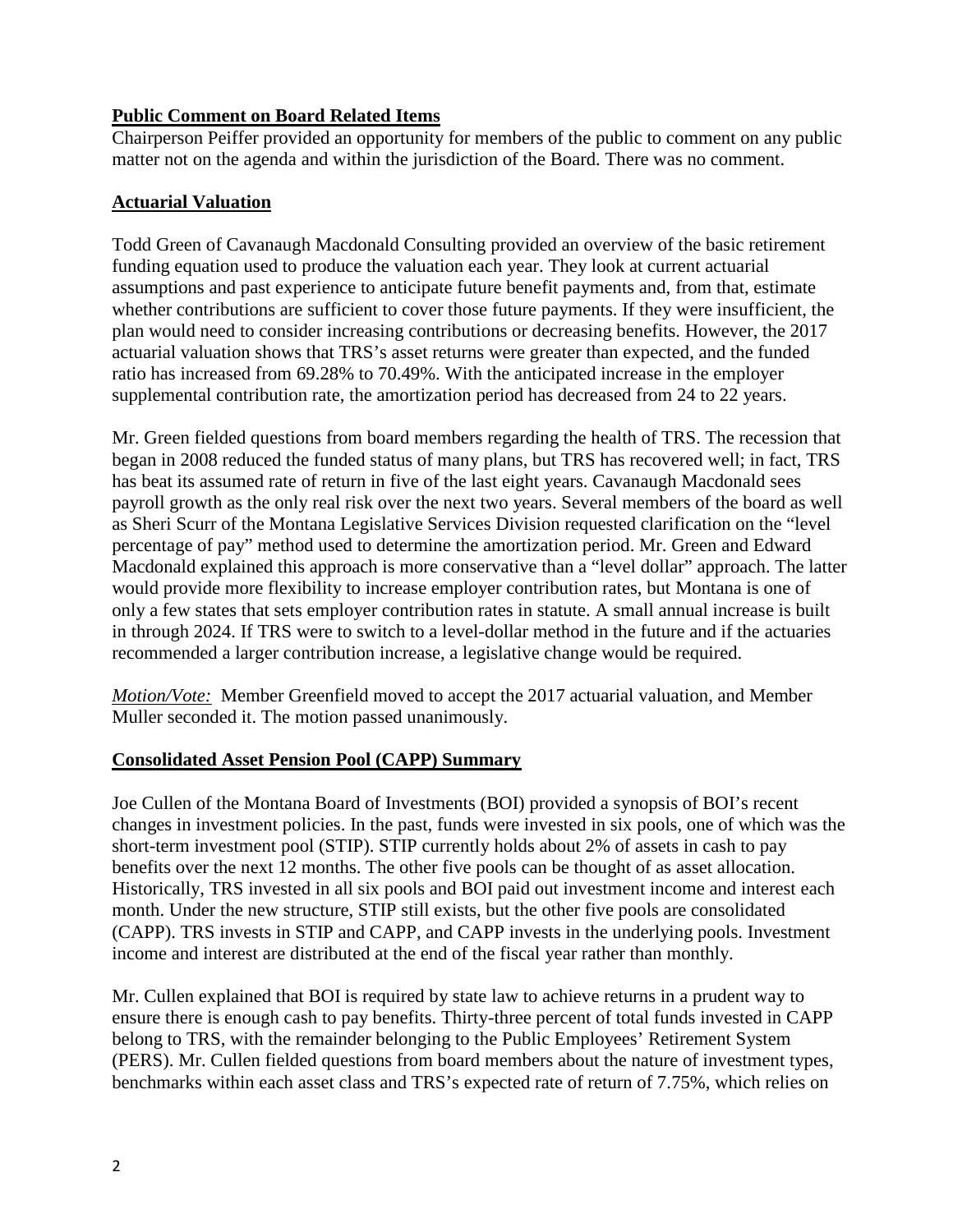# **Public Comment on Board Related Items**

Chairperson Peiffer provided an opportunity for members of the public to comment on any public matter not on the agenda and within the jurisdiction of the Board. There was no comment.

# **Actuarial Valuation**

Todd Green of Cavanaugh Macdonald Consulting provided an overview of the basic retirement funding equation used to produce the valuation each year. They look at current actuarial assumptions and past experience to anticipate future benefit payments and, from that, estimate whether contributions are sufficient to cover those future payments. If they were insufficient, the plan would need to consider increasing contributions or decreasing benefits. However, the 2017 actuarial valuation shows that TRS's asset returns were greater than expected, and the funded ratio has increased from 69.28% to 70.49%. With the anticipated increase in the employer supplemental contribution rate, the amortization period has decreased from 24 to 22 years.

Mr. Green fielded questions from board members regarding the health of TRS. The recession that began in 2008 reduced the funded status of many plans, but TRS has recovered well; in fact, TRS has beat its assumed rate of return in five of the last eight years. Cavanaugh Macdonald sees payroll growth as the only real risk over the next two years. Several members of the board as well as Sheri Scurr of the Montana Legislative Services Division requested clarification on the "level percentage of pay" method used to determine the amortization period. Mr. Green and Edward Macdonald explained this approach is more conservative than a "level dollar" approach. The latter would provide more flexibility to increase employer contribution rates, but Montana is one of only a few states that sets employer contribution rates in statute. A small annual increase is built in through 2024. If TRS were to switch to a level-dollar method in the future and if the actuaries recommended a larger contribution increase, a legislative change would be required.

*Motion/Vote:* Member Greenfield moved to accept the 2017 actuarial valuation, and Member Muller seconded it. The motion passed unanimously.

# **Consolidated Asset Pension Pool (CAPP) Summary**

Joe Cullen of the Montana Board of Investments (BOI) provided a synopsis of BOI's recent changes in investment policies. In the past, funds were invested in six pools, one of which was the short-term investment pool (STIP). STIP currently holds about 2% of assets in cash to pay benefits over the next 12 months. The other five pools can be thought of as asset allocation. Historically, TRS invested in all six pools and BOI paid out investment income and interest each month. Under the new structure, STIP still exists, but the other five pools are consolidated (CAPP). TRS invests in STIP and CAPP, and CAPP invests in the underlying pools. Investment income and interest are distributed at the end of the fiscal year rather than monthly.

Mr. Cullen explained that BOI is required by state law to achieve returns in a prudent way to ensure there is enough cash to pay benefits. Thirty-three percent of total funds invested in CAPP belong to TRS, with the remainder belonging to the Public Employees' Retirement System (PERS). Mr. Cullen fielded questions from board members about the nature of investment types, benchmarks within each asset class and TRS's expected rate of return of 7.75%, which relies on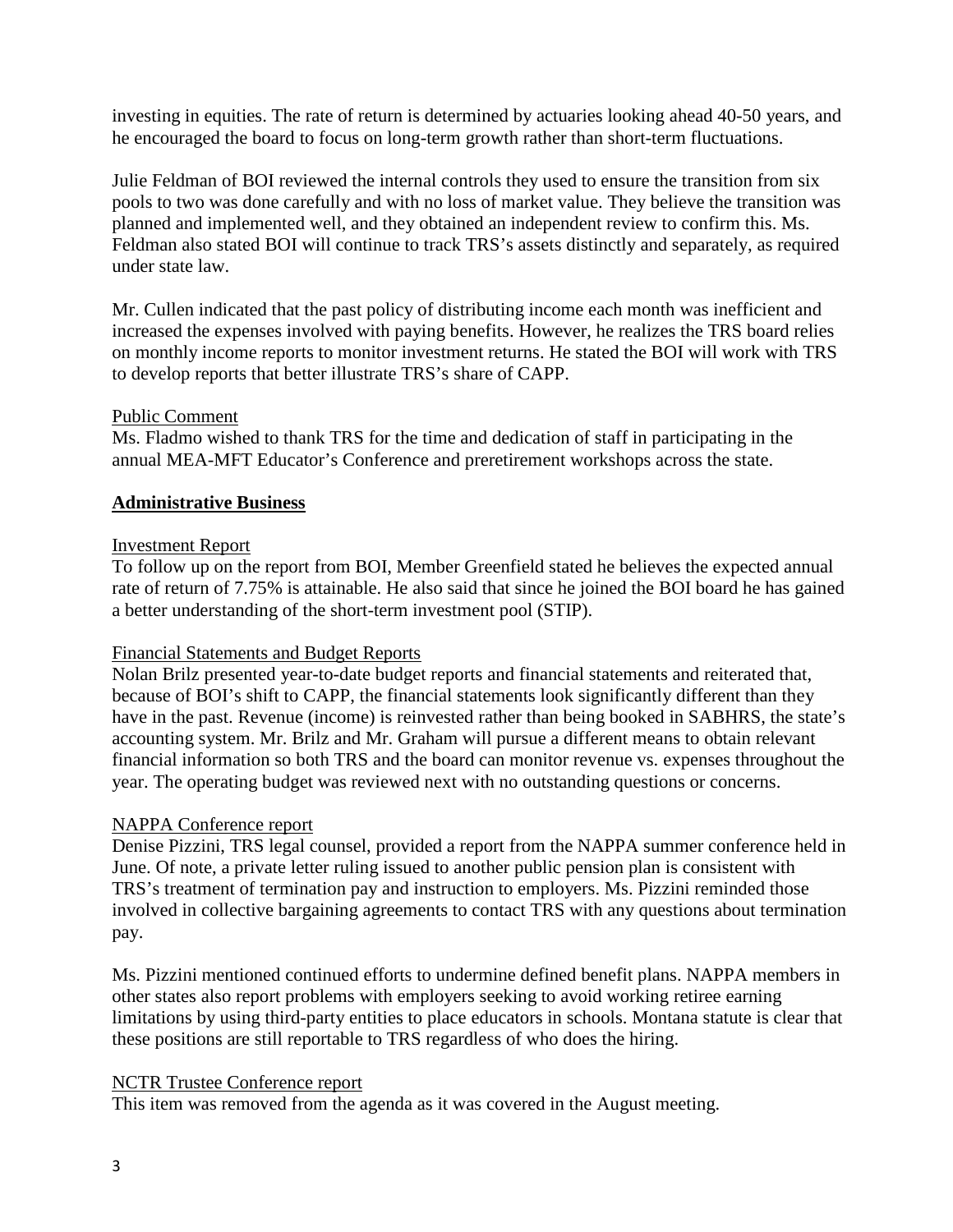investing in equities. The rate of return is determined by actuaries looking ahead 40-50 years, and he encouraged the board to focus on long-term growth rather than short-term fluctuations.

Julie Feldman of BOI reviewed the internal controls they used to ensure the transition from six pools to two was done carefully and with no loss of market value. They believe the transition was planned and implemented well, and they obtained an independent review to confirm this. Ms. Feldman also stated BOI will continue to track TRS's assets distinctly and separately, as required under state law.

Mr. Cullen indicated that the past policy of distributing income each month was inefficient and increased the expenses involved with paying benefits. However, he realizes the TRS board relies on monthly income reports to monitor investment returns. He stated the BOI will work with TRS to develop reports that better illustrate TRS's share of CAPP.

# Public Comment

Ms. Fladmo wished to thank TRS for the time and dedication of staff in participating in the annual MEA-MFT Educator's Conference and preretirement workshops across the state.

# **Administrative Business**

#### Investment Report

To follow up on the report from BOI, Member Greenfield stated he believes the expected annual rate of return of 7.75% is attainable. He also said that since he joined the BOI board he has gained a better understanding of the short-term investment pool (STIP).

# Financial Statements and Budget Reports

Nolan Brilz presented year-to-date budget reports and financial statements and reiterated that, because of BOI's shift to CAPP, the financial statements look significantly different than they have in the past. Revenue (income) is reinvested rather than being booked in SABHRS, the state's accounting system. Mr. Brilz and Mr. Graham will pursue a different means to obtain relevant financial information so both TRS and the board can monitor revenue vs. expenses throughout the year. The operating budget was reviewed next with no outstanding questions or concerns.

# NAPPA Conference report

Denise Pizzini, TRS legal counsel, provided a report from the NAPPA summer conference held in June. Of note, a private letter ruling issued to another public pension plan is consistent with TRS's treatment of termination pay and instruction to employers. Ms. Pizzini reminded those involved in collective bargaining agreements to contact TRS with any questions about termination pay.

Ms. Pizzini mentioned continued efforts to undermine defined benefit plans. NAPPA members in other states also report problems with employers seeking to avoid working retiree earning limitations by using third-party entities to place educators in schools. Montana statute is clear that these positions are still reportable to TRS regardless of who does the hiring.

#### NCTR Trustee Conference report

This item was removed from the agenda as it was covered in the August meeting.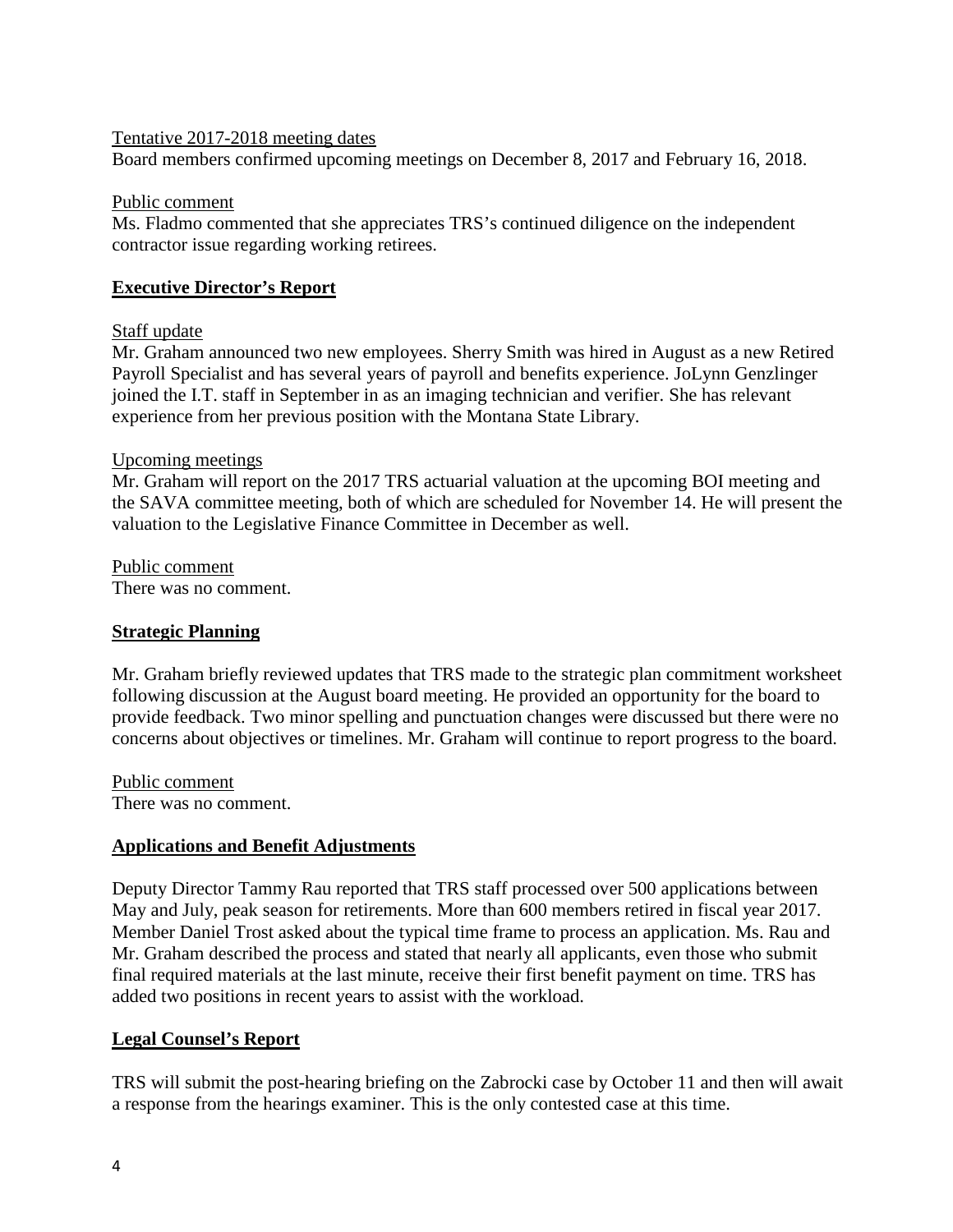### Tentative 2017-2018 meeting dates

Board members confirmed upcoming meetings on December 8, 2017 and February 16, 2018.

### Public comment

Ms. Fladmo commented that she appreciates TRS's continued diligence on the independent contractor issue regarding working retirees.

# **Executive Director's Report**

# Staff update

Mr. Graham announced two new employees. Sherry Smith was hired in August as a new Retired Payroll Specialist and has several years of payroll and benefits experience. JoLynn Genzlinger joined the I.T. staff in September in as an imaging technician and verifier. She has relevant experience from her previous position with the Montana State Library.

# Upcoming meetings

Mr. Graham will report on the 2017 TRS actuarial valuation at the upcoming BOI meeting and the SAVA committee meeting, both of which are scheduled for November 14. He will present the valuation to the Legislative Finance Committee in December as well.

Public comment There was no comment.

# **Strategic Planning**

Mr. Graham briefly reviewed updates that TRS made to the strategic plan commitment worksheet following discussion at the August board meeting. He provided an opportunity for the board to provide feedback. Two minor spelling and punctuation changes were discussed but there were no concerns about objectives or timelines. Mr. Graham will continue to report progress to the board.

Public comment There was no comment.

# **Applications and Benefit Adjustments**

Deputy Director Tammy Rau reported that TRS staff processed over 500 applications between May and July, peak season for retirements. More than 600 members retired in fiscal year 2017. Member Daniel Trost asked about the typical time frame to process an application. Ms. Rau and Mr. Graham described the process and stated that nearly all applicants, even those who submit final required materials at the last minute, receive their first benefit payment on time. TRS has added two positions in recent years to assist with the workload.

# **Legal Counsel's Report**

TRS will submit the post-hearing briefing on the Zabrocki case by October 11 and then will await a response from the hearings examiner. This is the only contested case at this time.